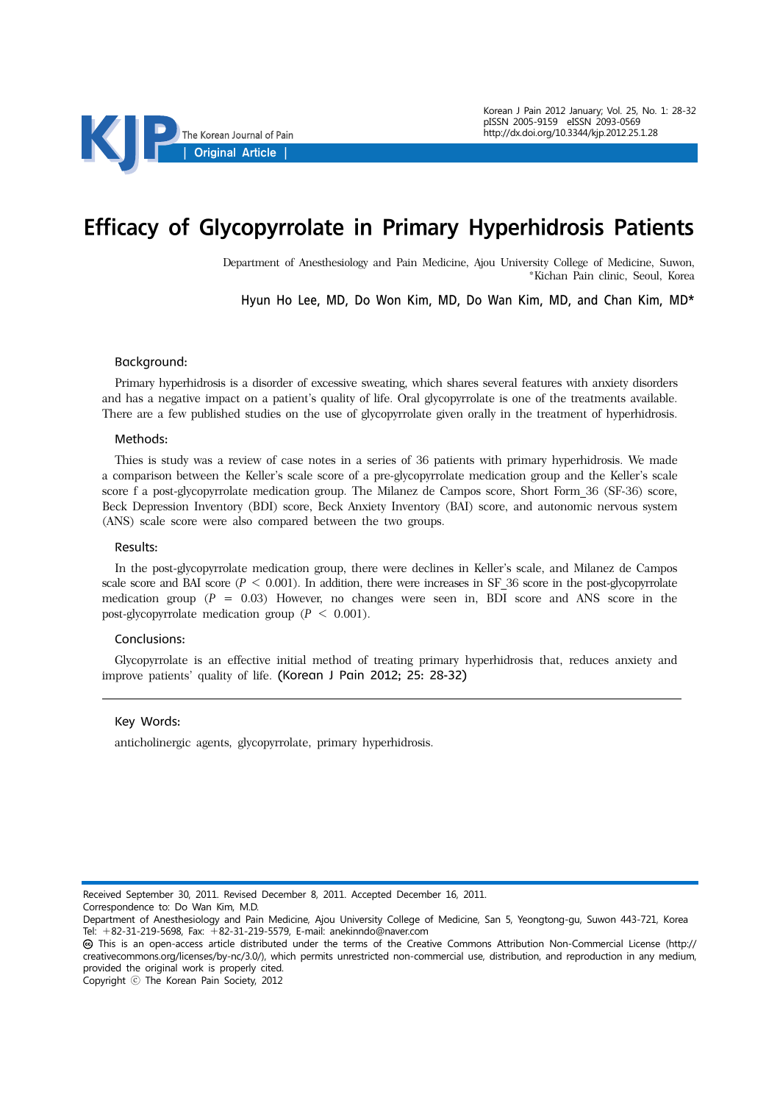

# Efficacy of Glycopyrrolate in Primary Hyperhidrosis Patients

Department of Anesthesiology and Pain Medicine, Ajou University College of Medicine, Suwon, \*Kichan Pain clinic, Seoul, Korea

Hyun Ho Lee, MD, Do Won Kim, MD, Do Wan Kim, MD, and Chan Kim, MD\*

## Background:

Primary hyperhidrosis is a disorder of excessive sweating, which shares several features with anxiety disorders and has a negative impact on a patient's quality of life. Oral glycopyrrolate is one of the treatments available. There are a few published studies on the use of glycopyrrolate given orally in the treatment of hyperhidrosis.

#### Methods:

Thies is study was a review of case notes in a series of 36 patients with primary hyperhidrosis. We made a comparison between the Keller's scale score of a pre-glycopyrrolate medication group and the Keller's scale score f a post-glycopyrrolate medication group. The Milanez de Campos score, Short Form\_36 (SF-36) score, Beck Depression Inventory (BDI) score, Beck Anxiety Inventory (BAI) score, and autonomic nervous system (ANS) scale score were also compared between the two groups.

#### Results:

In the post-glycopyrrolate medication group, there were declines in Keller's scale, and Milanez de Campos scale score and BAI score  $(P < 0.001)$ . In addition, there were increases in SF 36 score in the post-glycopyrrolate medication group  $(P = 0.03)$  However, no changes were seen in, BDI score and ANS score in the post-glycopyrrolate medication group  $(P < 0.001)$ .

## Conclusions:

Glycopyrrolate is an effective initial method of treating primary hyperhidrosis that, reduces anxiety and improve patients' quality of life. (Korean J Pain 2012; 25: 28-32)

#### Key Words:

anticholinergic agents, glycopyrrolate, primary hyperhidrosis.

Received September 30, 2011. Revised December 8, 2011. Accepted December 16, 2011.

Correspondence to: Do Wan Kim, M.D.

Copyright ⓒ The Korean Pain Society, 2012

Department of Anesthesiology and Pain Medicine, Ajou University College of Medicine, San 5, Yeongtong-gu, Suwon 443-721, Korea Tel: +82-31-219-5698, Fax: +82-31-219-5579, E-mail: anekinndo@naver.com

This is an open-access article distributed under the terms of the Creative Commons Attribution Non-Commercial License (http:// creativecommons.org/licenses/by-nc/3.0/), which permits unrestricted non-commercial use, distribution, and reproduction in any medium, provided the original work is properly cited.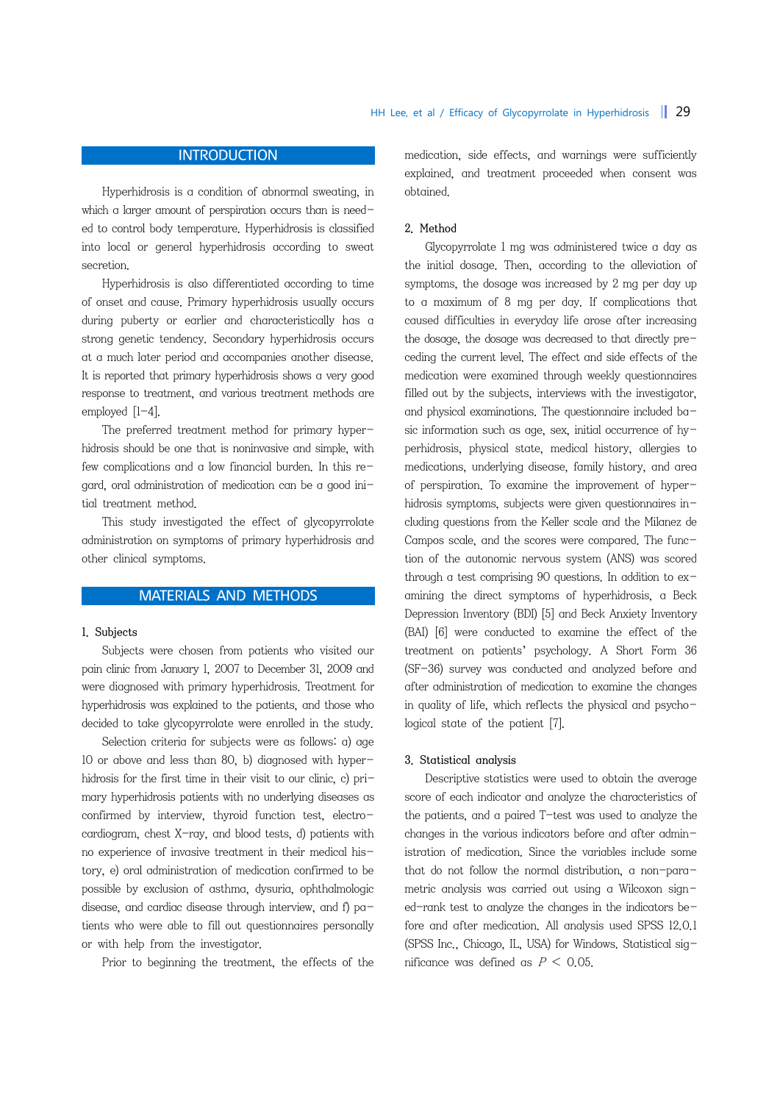## **INTRODUCTION**

Hyperhidrosis is a condition of abnormal sweating, in which a larger amount of perspiration occurs than is needed to control body temperature. Hyperhidrosis is classified into local or general hyperhidrosis according to sweat secretion.

Hyperhidrosis is also differentiated according to time of onset and cause. Primary hyperhidrosis usually occurs during puberty or earlier and characteristically has a strong genetic tendency. Secondary hyperhidrosis occurs at a much later period and accompanies another disease. It is reported that primary hyperhidrosis shows a very good response to treatment, and various treatment methods are employed [1-4].

The preferred treatment method for primary hyperhidrosis should be one that is noninvasive and simple, with few complications and a low financial burden. In this regard, oral administration of medication can be a good initial treatment method.

This study investigated the effect of glycopyrrolate administration on symptoms of primary hyperhidrosis and other clinical symptoms.

### MATERIALS AND METHODS

#### 1. Subjects

Subjects were chosen from patients who visited our pain clinic from January 1, 2007 to December 31, 2009 and were diagnosed with primary hyperhidrosis. Treatment for hyperhidrosis was explained to the patients, and those who decided to take glycopyrrolate were enrolled in the study.

Selection criteria for subjects were as follows: a) age 10 or above and less than 80, b) diagnosed with hyperhidrosis for the first time in their visit to our clinic, c) primary hyperhidrosis patients with no underlying diseases as confirmed by interview, thyroid function test, electrocardiogram, chest X-ray, and blood tests, d) patients with no experience of invasive treatment in their medical history, e) oral administration of medication confirmed to be possible by exclusion of asthma, dysuria, ophthalmologic disease, and cardiac disease through interview, and f) patients who were able to fill out questionnaires personally or with help from the investigator.

Prior to beginning the treatment, the effects of the

medication, side effects, and warnings were sufficiently explained, and treatment proceeded when consent was obtained.

#### 2. Method

Glycopyrrolate 1 mg was administered twice a day as the initial dosage. Then, according to the alleviation of symptoms, the dosage was increased by 2 mg per day up to a maximum of 8 mg per day. If complications that caused difficulties in everyday life arose after increasing the dosage, the dosage was decreased to that directly preceding the current level. The effect and side effects of the medication were examined through weekly questionnaires filled out by the subjects, interviews with the investigator, and physical examinations. The questionnaire included basic information such as age, sex, initial occurrence of hyperhidrosis, physical state, medical history, allergies to medications, underlying disease, family history, and area of perspiration. To examine the improvement of hyperhidrosis symptoms, subjects were given questionnaires including questions from the Keller scale and the Milanez de Campos scale, and the scores were compared. The function of the autonomic nervous system (ANS) was scored through a test comprising 90 questions. In addition to examining the direct symptoms of hyperhidrosis, a Beck Depression Inventory (BDI) [5] and Beck Anxiety Inventory (BAI) [6] were conducted to examine the effect of the treatment on patients' psychology. A Short Form 36 (SF-36) survey was conducted and analyzed before and after administration of medication to examine the changes in quality of life, which reflects the physical and psychological state of the patient [7].

#### 3. Statistical analysis

Descriptive statistics were used to obtain the average score of each indicator and analyze the characteristics of the patients, and a paired T-test was used to analyze the changes in the various indicators before and after administration of medication. Since the variables include some that do not follow the normal distribution, a non-parametric analysis was carried out using a Wilcoxon signed-rank test to analyze the changes in the indicators before and after medication. All analysis used SPSS 12.0.1 (SPSS Inc., Chicago, IL, USA) for Windows. Statistical significance was defined as  $P < 0.05$ .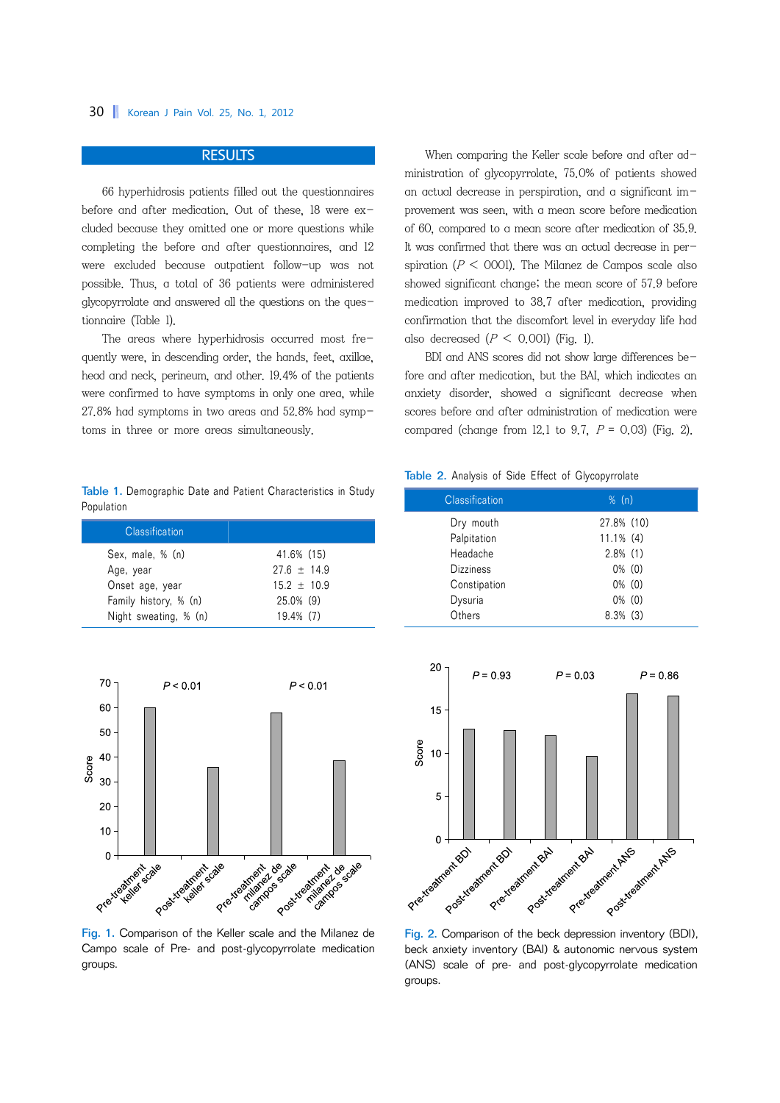## **RESULTS**

66 hyperhidrosis patients filled out the questionnaires before and after medication. Out of these, 18 were excluded because they omitted one or more questions while completing the before and after questionnaires, and 12 were excluded because outpatient follow-up was not possible. Thus, a total of 36 patients were administered glycopyrrolate and answered all the questions on the questionnaire (Table 1).

The areas where hyperhidrosis occurred most frequently were, in descending order, the hands, feet, axillae, head and neck, perineum, and other. 19.4% of the patients were confirmed to have symptoms in only one area, while 27.8% had symptoms in two areas and 52.8% had symptoms in three or more areas simultaneously.

Table 1. Demographic Date and Patient Characteristics in Study Population

| 41.6% (15)    |
|---------------|
| $27.6 + 14.9$ |
| $15.2 + 10.9$ |
| 25.0% (9)     |
| 19.4% (7)     |
|               |



Campo scale of Pre- and post-glycopyrrolate medication groups.

When comparing the Keller scale before and after administration of glycopyrrolate, 75.0% of patients showed an actual decrease in perspiration, and a significant improvement was seen, with a mean score before medication of 60, compared to a mean score after medication of 35.9. It was confirmed that there was an actual decrease in perspiration ( $P < 0001$ ). The Milanez de Campos scale also showed significant change; the mean score of 57.9 before medication improved to 38.7 after medication, providing confirmation that the discomfort level in everyday life had also decreased  $(P < 0.001)$  (Fig. 1).

BDI and ANS scores did not show large differences before and after medication, but the BAI, which indicates an anxiety disorder, showed a significant decrease when scores before and after administration of medication were compared (change from 12.1 to 9.7,  $P = 0.03$ ) (Fig. 2).

Table 2. Analysis of Side Effect of Glycopyrrolate

| Classification   | % (n)        |
|------------------|--------------|
| Dry mouth        | 27.8% (10)   |
| Palpitation      | $11.1\%$ (4) |
| Headache         | $2.8\%$ (1)  |
| <b>Dizziness</b> | $0\%$ (0)    |
| Constipation     | $0\%$ (0)    |
| Dysuria          | $0\%$ (0)    |
| Others           | $8.3\%$ (3)  |



Fig. 2. Comparison of the beck depression inventory (BDI), beck anxiety inventory (BAI) & autonomic nervous system (ANS) scale of pre- and post-glycopyrrolate medication groups.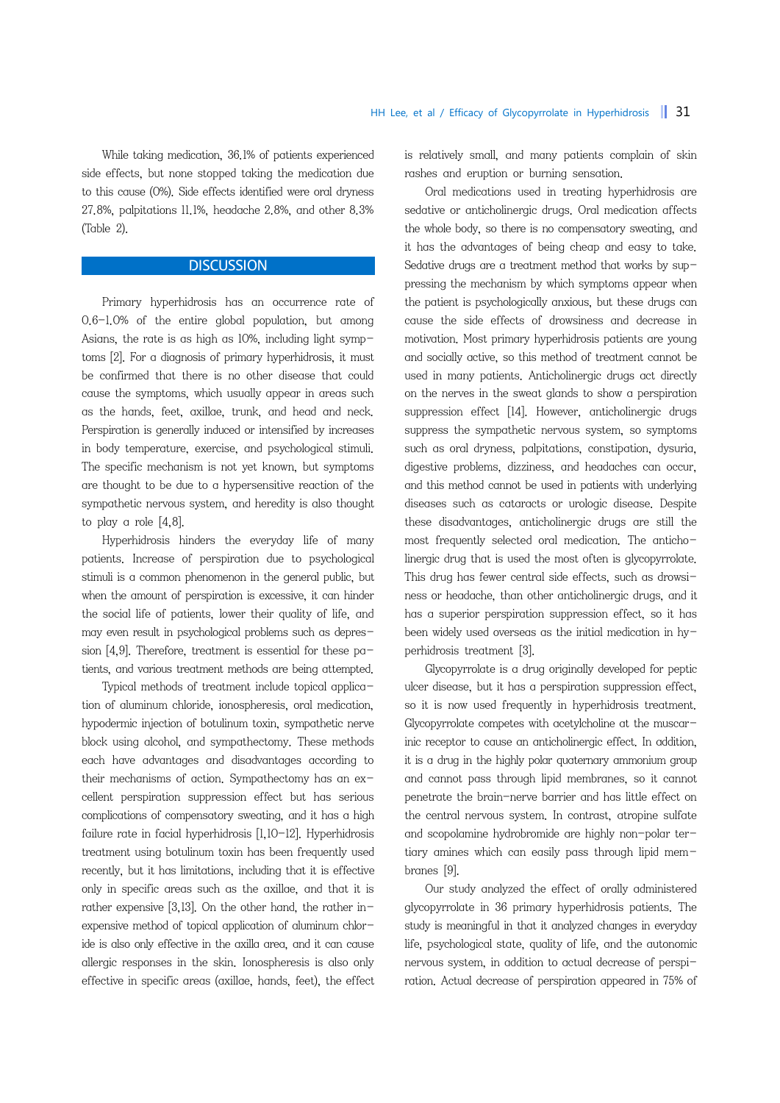While taking medication, 36.1% of patients experienced side effects, but none stopped taking the medication due to this cause (0%). Side effects identified were oral dryness 27.8%, palpitations 11.1%, headache 2.8%, and other 8.3% (Table 2).

## **DISCUSSION**

Primary hyperhidrosis has an occurrence rate of 0.6-1.0% of the entire global population, but among Asians, the rate is as high as 10%, including light symptoms [2]. For a diagnosis of primary hyperhidrosis, it must be confirmed that there is no other disease that could cause the symptoms, which usually appear in areas such as the hands, feet, axillae, trunk, and head and neck. Perspiration is generally induced or intensified by increases in body temperature, exercise, and psychological stimuli. The specific mechanism is not yet known, but symptoms are thought to be due to a hypersensitive reaction of the sympathetic nervous system, and heredity is also thought to play a role  $[4,8]$ .

Hyperhidrosis hinders the everyday life of many patients. Increase of perspiration due to psychological stimuli is a common phenomenon in the general public, but when the amount of perspiration is excessive, it can hinder the social life of patients, lower their quality of life, and may even result in psychological problems such as depression [4,9]. Therefore, treatment is essential for these  $pa$ tients, and various treatment methods are being attempted.

Typical methods of treatment include topical application of aluminum chloride, ionospheresis, oral medication, hypodermic injection of botulinum toxin, sympathetic nerve block using alcohol, and sympathectomy. These methods each have advantages and disadvantages according to their mechanisms of action. Sympathectomy has an excellent perspiration suppression effect but has serious complications of compensatory sweating, and it has a high failure rate in facial hyperhidrosis [1,10-12]. Hyperhidrosis treatment using botulinum toxin has been frequently used recently, but it has limitations, including that it is effective only in specific areas such as the axillae, and that it is rather expensive [3,13]. On the other hand, the rather inexpensive method of topical application of aluminum chloride is also only effective in the axilla area, and it can cause allergic responses in the skin. Ionospheresis is also only effective in specific areas (axillae, hands, feet), the effect is relatively small, and many patients complain of skin rashes and eruption or burning sensation.

Oral medications used in treating hyperhidrosis are sedative or anticholinergic drugs. Oral medication affects the whole body, so there is no compensatory sweating, and it has the advantages of being cheap and easy to take. Sedative drugs are a treatment method that works by suppressing the mechanism by which symptoms appear when the patient is psychologically anxious, but these drugs can cause the side effects of drowsiness and decrease in motivation. Most primary hyperhidrosis patients are young and socially active, so this method of treatment cannot be used in many patients. Anticholinergic drugs act directly on the nerves in the sweat glands to show a perspiration suppression effect [14]. However, anticholinergic drugs suppress the sympathetic nervous system, so symptoms such as oral dryness, palpitations, constipation, dysuria, digestive problems, dizziness, and headaches can occur, and this method cannot be used in patients with underlying diseases such as cataracts or urologic disease. Despite these disadvantages, anticholinergic drugs are still the most frequently selected oral medication. The anticholinergic drug that is used the most often is glycopyrrolate. This drug has fewer central side effects, such as drowsiness or headache, than other anticholinergic drugs, and it has a superior perspiration suppression effect, so it has been widely used overseas as the initial medication in hyperhidrosis treatment [3].

Glycopyrrolate is a drug originally developed for peptic ulcer disease, but it has a perspiration suppression effect, so it is now used frequently in hyperhidrosis treatment. Glycopyrrolate competes with acetylcholine at the muscarinic receptor to cause an anticholinergic effect. In addition, it is a drug in the highly polar quaternary ammonium group and cannot pass through lipid membranes, so it cannot penetrate the brain-nerve barrier and has little effect on the central nervous system. In contrast, atropine sulfate and scopolamine hydrobromide are highly non-polar tertiary amines which can easily pass through lipid membranes [9].

Our study analyzed the effect of orally administered glycopyrrolate in 36 primary hyperhidrosis patients. The study is meaningful in that it analyzed changes in everyday life, psychological state, quality of life, and the autonomic nervous system, in addition to actual decrease of perspiration. Actual decrease of perspiration appeared in 75% of